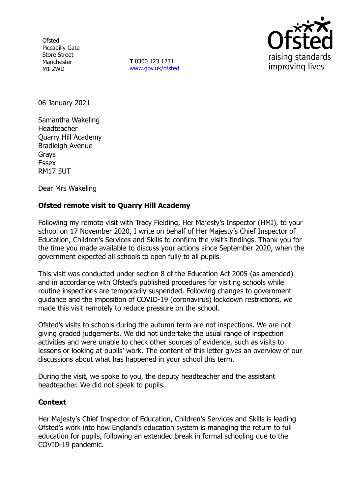**Ofsted** Piccadilly Gate Store Street Manchester M1 2WD

**T** 0300 123 1231 [www.gov.uk/ofsted](http://www.gov.uk/ofsted)



06 January 2021

Samantha Wakeling Headteacher Quarry Hill Academy Bradleigh Avenue Grays **Essex** RM17 5UT

Dear Mrs Wakeling

## **Ofsted remote visit to Quarry Hill Academy**

Following my remote visit with Tracy Fielding, Her Majesty's Inspector (HMI), to your school on 17 November 2020, I write on behalf of Her Majesty's Chief Inspector of Education, Children's Services and Skills to confirm the visit's findings. Thank you for the time you made available to discuss your actions since September 2020, when the government expected all schools to open fully to all pupils.

This visit was conducted under section 8 of the Education Act 2005 (as amended) and in accordance with Ofsted's published procedures for visiting schools while routine inspections are temporarily suspended. Following changes to government guidance and the imposition of COVID-19 (coronavirus) lockdown restrictions, we made this visit remotely to reduce pressure on the school.

Ofsted's visits to schools during the autumn term are not inspections. We are not giving graded judgements. We did not undertake the usual range of inspection activities and were unable to check other sources of evidence, such as visits to lessons or looking at pupils' work. The content of this letter gives an overview of our discussions about what has happened in your school this term.

During the visit, we spoke to you, the deputy headteacher and the assistant headteacher. We did not speak to pupils.

## **Context**

Her Majesty's Chief Inspector of Education, Children's Services and Skills is leading Ofsted's work into how England's education system is managing the return to full education for pupils, following an extended break in formal schooling due to the COVID-19 pandemic.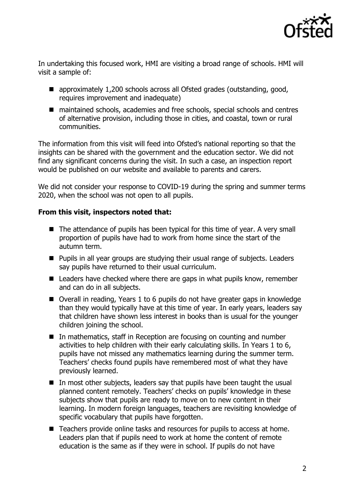

In undertaking this focused work, HMI are visiting a broad range of schools. HMI will visit a sample of:

- approximately 1,200 schools across all Ofsted grades (outstanding, good, requires improvement and inadequate)
- maintained schools, academies and free schools, special schools and centres of alternative provision, including those in cities, and coastal, town or rural communities.

The information from this visit will feed into Ofsted's national reporting so that the insights can be shared with the government and the education sector. We did not find any significant concerns during the visit. In such a case, an inspection report would be published on our website and available to parents and carers.

We did not consider your response to COVID-19 during the spring and summer terms 2020, when the school was not open to all pupils.

## **From this visit, inspectors noted that:**

- The attendance of pupils has been typical for this time of year. A very small proportion of pupils have had to work from home since the start of the autumn term.
- **Pupils in all year groups are studying their usual range of subjects. Leaders** say pupils have returned to their usual curriculum.
- Leaders have checked where there are gaps in what pupils know, remember and can do in all subjects.
- Overall in reading, Years 1 to 6 pupils do not have greater gaps in knowledge than they would typically have at this time of year. In early years, leaders say that children have shown less interest in books than is usual for the younger children joining the school.
- In mathematics, staff in Reception are focusing on counting and number activities to help children with their early calculating skills. In Years 1 to 6, pupils have not missed any mathematics learning during the summer term. Teachers' checks found pupils have remembered most of what they have previously learned.
- In most other subjects, leaders say that pupils have been taught the usual planned content remotely. Teachers' checks on pupils' knowledge in these subjects show that pupils are ready to move on to new content in their learning. In modern foreign languages, teachers are revisiting knowledge of specific vocabulary that pupils have forgotten.
- Teachers provide online tasks and resources for pupils to access at home. Leaders plan that if pupils need to work at home the content of remote education is the same as if they were in school. If pupils do not have